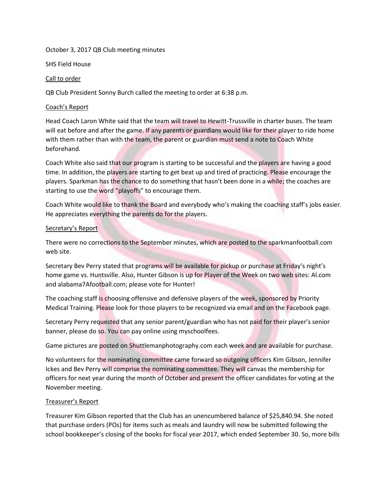### October 3, 2017 QB Club meeting minutes

SHS Field House

## Call to order

QB Club President Sonny Burch called the meeting to order at 6:38 p.m.

### Coach's Report

Head Coach Laron White said that the team will travel to Hewitt-Trussville in charter buses. The team will eat before and after the game. If any parents or guardians would like for their player to ride home with them rather than with the team, the parent or guardian must send a note to Coach White beforehand.

Coach White also said that our program is starting to be successful and the players are having a good time. In addition, the players are starting to get beat up and tired of practicing. Please encourage the players. Sparkman has the chance to do something that hasn't been done in a while; the coaches are starting to use the word "playoffs" to encourage them.

Coach White would like to thank the Board and everybody who's making the coaching staff's jobs easier. He appreciates everything the parents do for the players.

# Secretary's Report

There were no corrections to the September minutes, which are posted to the sparkmanfootball.com web site.

Secretary Bev Perry stated that programs will be available for pickup or purchase at Friday's night's home game vs. Huntsville. Also, Hunter Gibson is up for Player of the Week on two web sites: Al.com and alabama7Afootball.com; please vote for Hunter!

The coaching staff is choosing offensive and defensive players of the week, sponsored by Priority Medical Training. Please look for those players to be recognized via email and on the Facebook page.

Secretary Perry requested that any senior parent/guardian who has not paid for their player's senior banner, please do so. You can pay online using myschoolfees.

Game pictures are posted on Shuttlemanphotography.com each week and are available for purchase.

No volunteers for the nominating committee came forward so outgoing officers Kim Gibson, Jennifer Ickes and Bev Perry will comprise the nominating committee. They will canvas the membership for officers for next year during the month of October and present the officer candidates for voting at the November meeting.

# Treasurer's Report

Treasurer Kim Gibson reported that the Club has an unencumbered balance of \$25,840.94. She noted that purchase orders (POs) for items such as meals and laundry will now be submitted following the school bookkeeper's closing of the books for fiscal year 2017, which ended September 30. So, more bills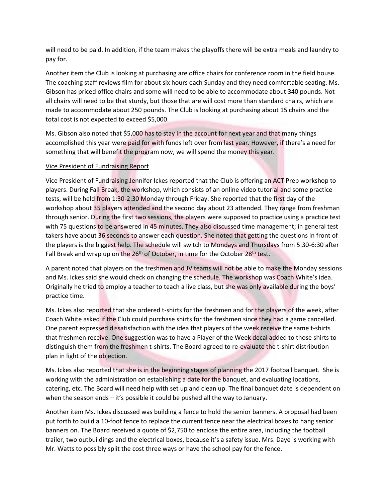will need to be paid. In addition, if the team makes the playoffs there will be extra meals and laundry to pay for.

Another item the Club is looking at purchasing are office chairs for conference room in the field house. The coaching staff reviews film for about six hours each Sunday and they need comfortable seating. Ms. Gibson has priced office chairs and some will need to be able to accommodate about 340 pounds. Not all chairs will need to be that sturdy, but those that are will cost more than standard chairs, which are made to accommodate about 250 pounds. The Club is looking at purchasing about 15 chairs and the total cost is not expected to exceed \$5,000.

Ms. Gibson also noted that \$5,000 has to stay in the account for next year and that many things accomplished this year were paid for with funds left over from last year. However, if there's a need for something that will benefit the program now, we will spend the money this year.

### Vice President of Fundraising Report

Vice President of Fundraising Jennifer Ickes reported that the Club is offering an ACT Prep workshop to players. During Fall Break, the workshop, which consists of an online video tutorial and some practice tests, will be held from 1:30-2:30 Monday through Friday. She reported that the first day of the workshop about 35 players attended and the second day about 23 attended. They range from freshman through senior. During the first two sessions, the players were supposed to practice using a practice test with 75 questions to be answered in 45 minutes. They also discussed time management; in general test takers have about 36 seconds to answer each question. She noted that getting the questions in front of the players is the biggest help. The schedule will switch to Mondays and Thursdays from 5:30-6:30 after Fall Break and wrap up on the  $26<sup>th</sup>$  of October, in time for the October  $28<sup>th</sup>$  test.

A parent noted that players on the freshmen and JV teams will not be able to make the Monday sessions and Ms. Ickes said she would check on changing the schedule. The workshop was Coach White's idea. Originally he tried to employ a teacher to teach a live class, but she was only available during the boys' practice time.

Ms. Ickes also reported that she ordered t-shirts for the freshmen and for the players of the week, after Coach White asked if the Club could purchase shirts for the freshmen since they had a game cancelled. One parent expressed dissatisfaction with the idea that players of the week receive the same t-shirts that freshmen receive. One suggestion was to have a Player of the Week decal added to those shirts to distinguish them from the freshmen t-shirts. The Board agreed to re-evaluate the t-shirt distribution plan in light of the objection.

Ms. Ickes also reported that she is in the beginning stages of planning the 2017 football banquet. She is working with the administration on establishing a date for the banquet, and evaluating locations, catering, etc. The Board will need help with set up and clean up. The final banquet date is dependent on when the season ends – it's possible it could be pushed all the way to January.

Another item Ms. Ickes discussed was building a fence to hold the senior banners. A proposal had been put forth to build a 10-foot fence to replace the current fence near the electrical boxes to hang senior banners on. The Board received a quote of \$2,750 to enclose the entire area, including the football trailer, two outbuildings and the electrical boxes, because it's a safety issue. Mrs. Daye is working with Mr. Watts to possibly split the cost three ways or have the school pay for the fence.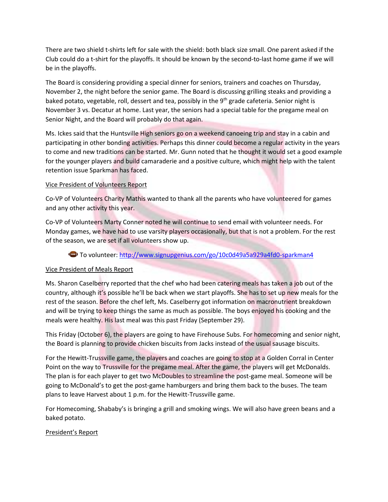There are two shield t-shirts left for sale with the shield: both black size small. One parent asked if the Club could do a t-shirt for the playoffs. It should be known by the second-to-last home game if we will be in the playoffs.

The Board is considering providing a special dinner for seniors, trainers and coaches on Thursday, November 2, the night before the senior game. The Board is discussing grilling steaks and providing a baked potato, vegetable, roll, dessert and tea, possibly in the 9<sup>th</sup> grade cafeteria. Senior night is November 3 vs. Decatur at home. Last year, the seniors had a special table for the pregame meal on Senior Night, and the Board will probably do that again.

Ms. Ickes said that the Huntsville High seniors go on a weekend canoeing trip and stay in a cabin and participating in other bonding activities. Perhaps this dinner could become a regular activity in the years to come and new traditions can be started. Mr. Gunn noted that he thought it would set a good example for the younger players and build camaraderie and a positive culture, which might help with the talent retention issue Sparkman has faced.

### Vice President of Volunteers Report

Co-VP of Volunteers Charity Mathis wanted to thank all the parents who have volunteered for games and any other activity this year.

Co-VP of Volunteers Marty Conner noted he will continue to send email with volunteer needs. For Monday games, we have had to use varsity players occasionally, but that is not a problem. For the rest of the season, we are set if all volunteers show up.

# To volunteer:<http://www.signupgenius.com/go/10c0d49a5a929a4fd0-sparkman4>

### Vice President of Meals Report

Ms. Sharon Caselberry reported that the chef who had been catering meals has taken a job out of the country, although it's possible he'll be back when we start playoffs. She has to set up new meals for the rest of the season. Before the chef left, Ms. Caselberry got information on macronutrient breakdown and will be trying to keep things the same as much as possible. The boys enjoyed his cooking and the meals were healthy. His last meal was this past Friday (September 29).

This Friday (October 6), the players are going to have Firehouse Subs. For homecoming and senior night, the Board is planning to provide chicken biscuits from Jacks instead of the usual sausage biscuits.

For the Hewitt-Trussville game, the players and coaches are going to stop at a Golden Corral in Center Point on the way to Trussville for the pregame meal. After the game, the players will get McDonalds. The plan is for each player to get two McDoubles to streamline the post-game meal. Someone will be going to McDonald's to get the post-game hamburgers and bring them back to the buses. The team plans to leave Harvest about 1 p.m. for the Hewitt-Trussville game.

For Homecoming, Shababy's is bringing a grill and smoking wings. We will also have green beans and a baked potato.

### President's Report